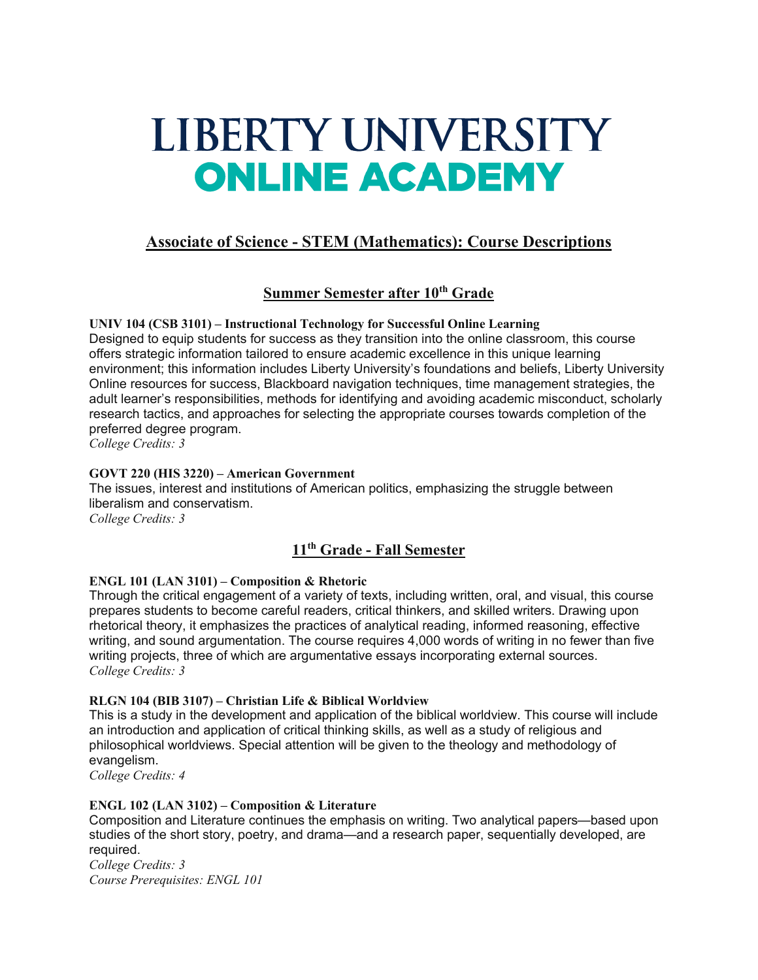# LIBERTY UNIVERSITY **ONLINE ACADEMY**

# **Associate of Science - STEM (Mathematics): Course Descriptions**

# **Summer Semester after 10th Grade**

**UNIV 104 (CSB 3101) – Instructional Technology for Successful Online Learning** Designed to equip students for success as they transition into the online classroom, this course offers strategic information tailored to ensure academic excellence in this unique learning environment; this information includes Liberty University's foundations and beliefs, Liberty University Online resources for success, Blackboard navigation techniques, time management strategies, the adult learner's responsibilities, methods for identifying and avoiding academic misconduct, scholarly research tactics, and approaches for selecting the appropriate courses towards completion of the preferred degree program.

*College Credits: 3*

## **GOVT 220 (HIS 3220) – American Government**

The issues, interest and institutions of American politics, emphasizing the struggle between liberalism and conservatism. *College Credits: 3*

# **11th Grade - Fall Semester**

## **ENGL 101 (LAN 3101) – Composition & Rhetoric**

Through the critical engagement of a variety of texts, including written, oral, and visual, this course prepares students to become careful readers, critical thinkers, and skilled writers. Drawing upon rhetorical theory, it emphasizes the practices of analytical reading, informed reasoning, effective writing, and sound argumentation. The course requires 4,000 words of writing in no fewer than five writing projects, three of which are argumentative essays incorporating external sources. *College Credits: 3*

## **RLGN 104 (BIB 3107) – Christian Life & Biblical Worldview**

This is a study in the development and application of the biblical worldview. This course will include an introduction and application of critical thinking skills, as well as a study of religious and philosophical worldviews. Special attention will be given to the theology and methodology of evangelism.

*College Credits: 4*

## **ENGL 102 (LAN 3102) – Composition & Literature**

Composition and Literature continues the emphasis on writing. Two analytical papers—based upon studies of the short story, poetry, and drama—and a research paper, sequentially developed, are required.

*College Credits: 3 Course Prerequisites: ENGL 101*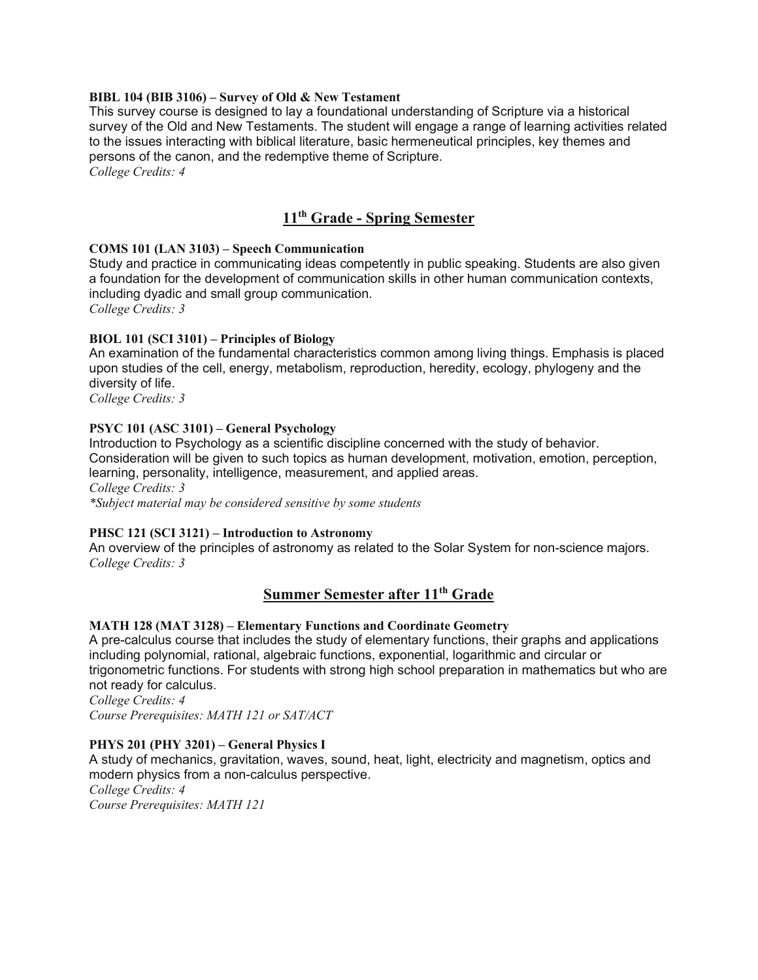## **BIBL 104 (BIB 3106) – Survey of Old & New Testament**

This survey course is designed to lay a foundational understanding of Scripture via a historical survey of the Old and New Testaments. The student will engage a range of learning activities related to the issues interacting with biblical literature, basic hermeneutical principles, key themes and persons of the canon, and the redemptive theme of Scripture.

*College Credits: 4*

# **11th Grade - Spring Semester**

## **COMS 101 (LAN 3103) – Speech Communication**

Study and practice in communicating ideas competently in public speaking. Students are also given a foundation for the development of communication skills in other human communication contexts, including dyadic and small group communication. *College Credits: 3*

## **BIOL 101 (SCI 3101) – Principles of Biology**

An examination of the fundamental characteristics common among living things. Emphasis is placed upon studies of the cell, energy, metabolism, reproduction, heredity, ecology, phylogeny and the diversity of life.

*College Credits: 3*

## **PSYC 101 (ASC 3101) – General Psychology**

Introduction to Psychology as a scientific discipline concerned with the study of behavior. Consideration will be given to such topics as human development, motivation, emotion, perception, learning, personality, intelligence, measurement, and applied areas. *College Credits: 3 \*Subject material may be considered sensitive by some students*

#### **PHSC 121 (SCI 3121) – Introduction to Astronomy**

An overview of the principles of astronomy as related to the Solar System for non-science majors. *College Credits: 3*

## **Summer Semester after 11th Grade**

## **MATH 128 (MAT 3128) – Elementary Functions and Coordinate Geometry**

A pre-calculus course that includes the study of elementary functions, their graphs and applications including polynomial, rational, algebraic functions, exponential, logarithmic and circular or trigonometric functions. For students with strong high school preparation in mathematics but who are not ready for calculus.

*College Credits: 4 Course Prerequisites: MATH 121 or SAT/ACT*

## **PHYS 201 (PHY 3201) – General Physics I**

A study of mechanics, gravitation, waves, sound, heat, light, electricity and magnetism, optics and modern physics from a non-calculus perspective. *College Credits: 4*

*Course Prerequisites: MATH 121*